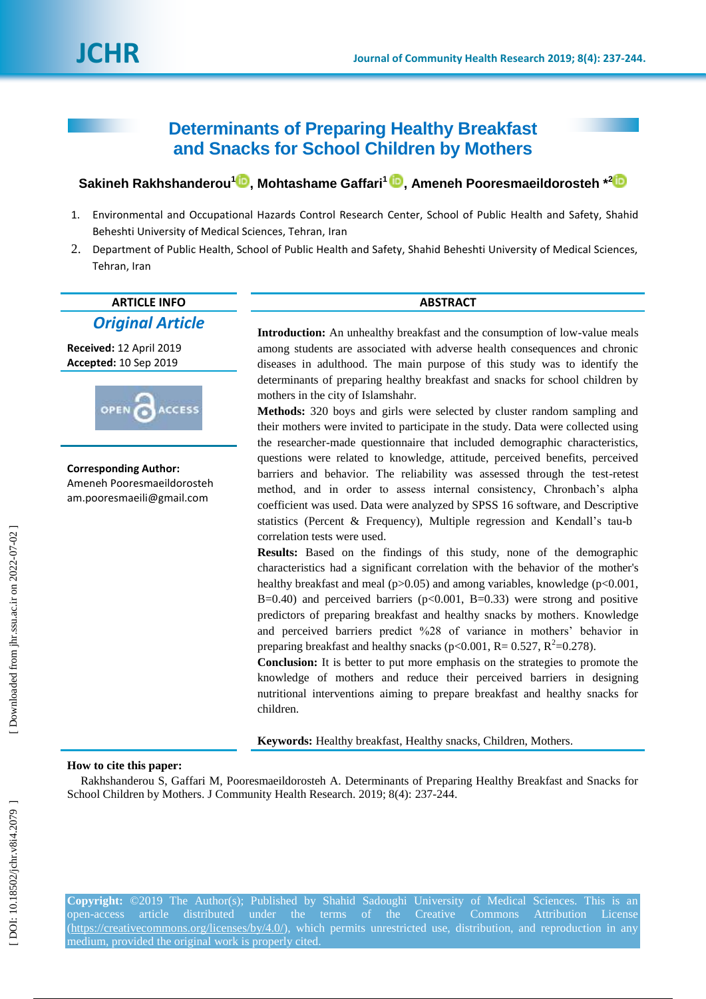# **Determinants of Preparing Healthy Breakfast and Snacks for School Children by Mothers**

# $\boldsymbol{\delta}$ akineh Rakhshanderou $^1\boldsymbol{\mathbb{D}},$  Mohtashame Gaffari $^1\boldsymbol{\mathbb{D}},$  Ameneh Pooresmaeildorosteh  $^{*2}$

- 1 . Environmental and Occupational Hazards Control Research Center, School of Public Health and Safety, Shahid Beheshti University of Medical Sciences, Tehran, Iran
- 2. . Department of Public Health, School of Public Health and Safety, Shahid Beheshti University of Medical Sciences, Tehran, Iran

## **ARTICLE INFO ABSTRACT** *Original Article*

**Received:** 12 April 201 9 **Accepted:** 10 Sep 2019



# **Corresponding Author:**

Ameneh Pooresmaeildorosteh am.pooresmaeili@gmail.com

Introduction: An unhealthy breakfast and the consumption of low-value meals among students are associated with adverse health consequences and chronic diseases in adulthood. The main purpose of this study was to identify the determinants of preparing healthy breakfast and snacks for school children by mothers in the city of Islamshahr.

**Methods:** 320 boys and girls were selected by cluster random sampling and their mothers were invited to participate in the study. Data were collected using the researcher -made questionnaire that included demographic characteristics, questions were related to knowledge, attitude, perceived benefits, perceived barriers and behavior. The reliability was assessed through the test -retest method, and in order to assess internal consistency, Chronbach's alpha coefficient was used. Data were analyzed by SPSS 16 software, and Descriptive statistics (Percent & Frequency), Multiple regression and Kendall's tau-b correlation tests were used.

**Results:** Based on the findings of this study, none of the demographic characteristics had a significant correlation with the behavior of the mother's healthy breakfast and meal (p>0.05) and among variables, knowledge (p<0.001, B=0.40) and perceived barriers ( $p<0.001$ , B=0.33) were strong and positive predictors of preparing breakfast and healthy snacks by mothers . Knowledge and perceived barriers predict %28 of variance in mothers' behavior in preparing breakfast and healthy snacks ( $p<0.001$ , R= 0.527, R<sup>2</sup>=0.278).

**Conclusion:** It is better to put more emphasis on the strategies to promote the knowledge of mothers and reduce their perceived barriers in designing nutritional interventions aiming to prepare breakfast and healthy snacks for children.

**Keywords:** Healthy breakfast, Healthy snacks, Children, Mothers.

### **How to cite this paper:**

Rakhshanderou S, Gaffari M, Pooresmaeildorosteh A. Determinants of Preparing Healthy Breakfast and Snacks for School Children by Mothers. J Community Health Research. 2019; 8(4): 237-244.

**Copyright:** ©2019 The Author(s); Published by Shahid Sadoughi University of Medical Sciences. This is an open-access article distributed under the terms of the Creative Commons Attribution License [\(https://creativecommons.org/licenses/by/4.0/\)](https://creativecommons.org/licenses/by/4.0/), which permits unrestricted use, distribution, and reproduction in any medium, provided the original work is properly cited.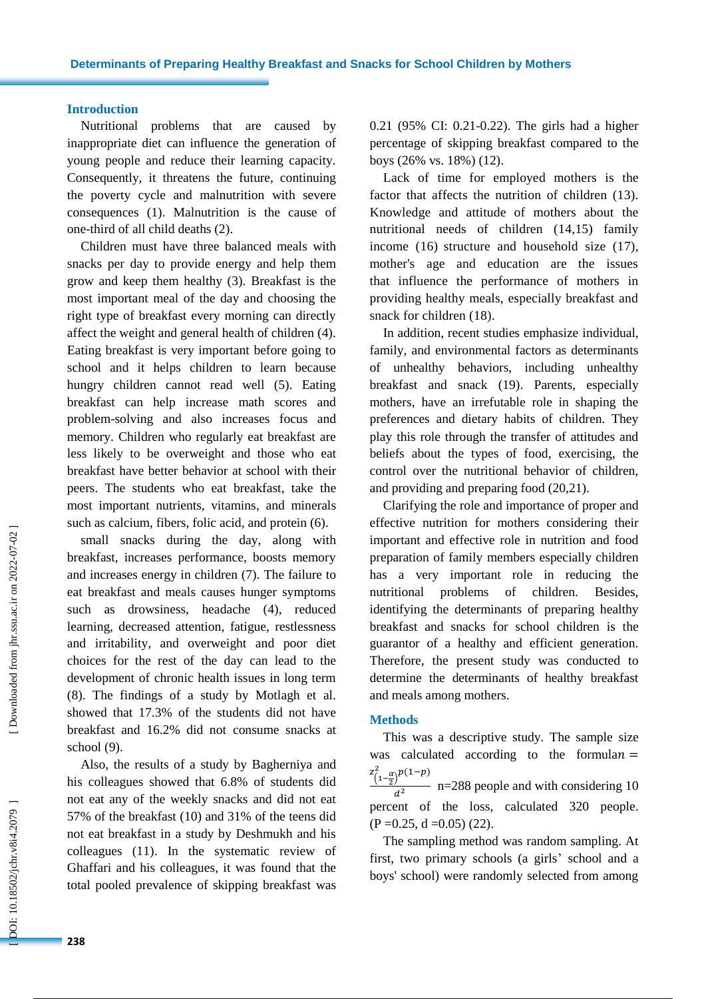### **Introduction**

Nutritional problems that are caused by inappropriate diet can influence the generation of young people and reduce their learning capacity. Consequently, it threatens the future, continuing the poverty cycle and malnutrition with severe consequences (1) . Malnutrition is the cause of one -third of all child deaths (2).

Children must have three balanced meals with snacks per day to provide energy and help them grow and keep them healthy (3). Breakfast is the most important meal of the day and choosing the right type of breakfast every morning can directly affect the weight and general health of children (4). Eating breakfast is very important before going to school and it helps children to learn because hungry children cannot read well (5). Eating breakfast can help increase math scores and problem -solving and also increases focus and memory. Children who regularly eat breakfast are less likely to be overweight and those who eat breakfast have better behavior at school with their peers. The students who eat breakfast, take the most important nutrients, vitamins , and minerals such as calcium, fibers, folic acid, and protein (6).

small snacks during the day, along with breakfast, increases performance, boosts memory and increases energy in children (7). The failure to eat breakfast and meals causes hunger symptoms such as drowsiness, headache (4), reduced learning, decreased attention, fatigue, restlessness and irritability, and overweight and poor diet choices for the rest of the day can lead to the development of chronic health issues in long term (8). The findings of a study by Motlagh et al . showed that 17.3% of the students did not have breakfast and 16.2% did not consum e snack s at school (9).

Also, the results of a study by Bagherniya and his colleagues showed that 6.8% of students did not eat any of the weekly snacks and did not eat 57% of the breakfast (10) and 31% of the teens did not eat breakfast in a study by Deshmukh and his colleagues (11). In the systematic review of Ghaffari and hi s colleagues , it was found that the total pooled prevalence of skipping breakfast was

0.21 (95% CI: 0.21 -0.22). The girls had a higher percentage of skipping breakfast compared to the boys (26% vs. 18%) (12).

Lack of time for employe d mothers is the factor that affects the nutrition of children (13). Knowledge and attitude of mothers about the nutritional needs of children (14, 1 5) family income (16) structure and household size (17), mother's age and education are the issues that influence the performance of mothers in providing healthy meals, especially breakfast and snack for children (1 8).

In addition, recent studies emphasize individual, family , and environmental factors as determinants of unhealthy behaviors, including unhealthy breakfast and snack (1 9). Parents, especially mothers, have an irrefutable role in shaping the preferences and dietary habits of children. They play this role through the transfer of attitudes and beliefs about the types of food, exercising, the control over the nutritional behavior of children, and providing and preparing food (20,21).

Clarifying the role and importance of proper and effective nutrition for mothers considering their important and effective role in nutrition and food preparation of family members especially children has a very important role in reducing the nutritional problems of children. Besides, identifying the determinants of preparing healthy breakfast and snacks for school children is the guarantor of a healthy and efficient generation. Therefore, the present study was conducted to determine the determinants of healthy breakfast and meals among mothers.

#### **Methods**

This was a descriptive study. The sample size was calculated according to the formulan  $=$  $z_{(1-\frac{\alpha}{2})}^2$  $\int_{0}^{2} \alpha \rho(1-p)$  $\frac{1}{d^2}$  n=288 people and with considering 10 percent of the loss , calculated 320 people.  $(P = 0.25, d = 0.05)$  (22).

The sampling method was random sampling. At first, two primary schools (a girls ' school and a boys' school) were randomly selected from among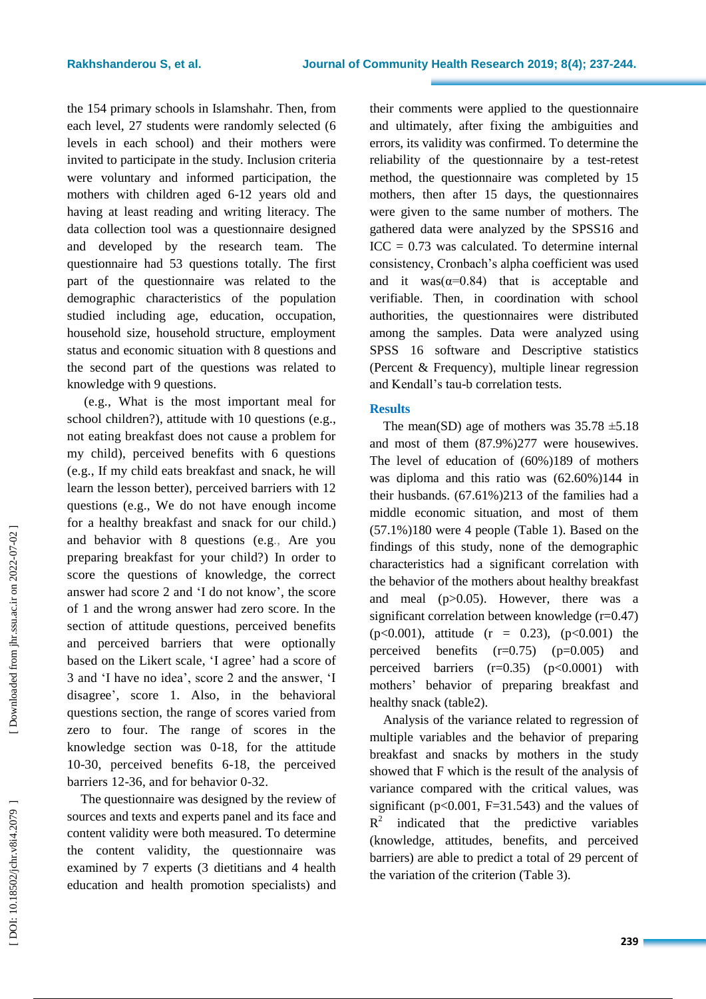the 154 primary schools in Islamshahr. Then, from each level, 27 students were randomly selected (6 levels in each school) and their mothers were invited to participate in the study. Inclusion criteria were voluntary and informed participation, the mothers with children aged 6 -12 years old and having at least reading and writing literacy. The data collection tool was a questionnaire designed and developed by the research team . The questionnaire had 53 questions totally. The first part of the questionnaire was related to the demographic characteristics of the population studied including age, education, occupation, household size, household structure, employment status and economic situation with 8 questions and the second part of the questions was related to knowledge with 9 questions .

(e.g., What is the most important meal for school children? ), attitude with 10 questions (e.g., not eating breakfast does not cause a problem for my child ), perceived benefits with 6 questions (e.g., If my child eat s breakfast and snack, he will learn the lesson better ), perceived barriers with 12 questions (e.g., We do not have enough income for a healthy breakfast and snack for our child. ) and behavior with 8 questions (e.g., Are you preparing breakfast for your child? ) In order to score the questions of knowledge, the correct answer had score 2 and 'I do not know ', the score of 1 and the wrong answer had zero score. In the section of attitude questions, perceived benefits and perceived barriers that were optionally based on the Likert scale, 'I agree ' had a score of 3 and 'I have no idea', score 2 and the answer, 'I disagree ', score 1. Also , in the behavioral questions section, the range of scores varied from zero to four. The range of scores in the knowledge section was 0 -18, for the attitude 10 -30 , perceived benefits 6 -18, the perceived barriers 12 -36 , and for behavior 0 -32.

The questionnaire was designed by the review of sources and texts and experts panel and its face and content validity were both measured. To determine the content validity, the questionnaire was examined by 7 experts (3 dietitians and 4 health education and health promotion specialist s) and their comments were applied to the questionnaire and ultimately, after fixing the ambiguities and errors, its validity was confirmed. To determine the reliability of the questionnaire by a test -retest method, the questionnaire was completed by 15 mothers, then after 15 days, the questionnaires were given to the same number of mothers. The gathered data were analyzed by the SPSS16 and  $ICC = 0.73$  was calculated. To determine internal consistency, Cronbach's alpha coefficient was used and it was( $\alpha=0.84$ ) that is acceptable and verifiable. Then, in coordination with school authorities, the questionnaires were distributed among the samples. Data were analyzed using SPSS 16 software and Descriptive statistics (Percent & Frequency), multiple linear regression and Kendall's tau - b correlation tests.

### **Results**

The mean(SD) age of mothers was  $35.78 \pm 5.18$ and most of them (87.9%)277 were housewives. The level of education of (60% )189 of mothers was diploma and this ratio was (62 .60 %)144 in their husbands. (67.6 1 %)213 of the families had a middle economic situation, and most of them (57.1%)180 were 4 people (Table 1). Based on the findings of this study, none of the demographic characteristics had a significant correlation with the behavior of the mothers about healthy breakfast and meal ( p>0.05). However, there was a significant correlation between knowledge (r=0.47) (p<0.001), attitude (r = 0.23), (p<0.001) the perceived benefits  $(r=0.75)$   $(p=0.005)$  and perceived barriers (r=0.35) ( p<0.0001) with mothers' behavior of preparing breakfast and healthy snack (table2).

Analysis of the variance related to regression of multiple variables and the behavior of preparing breakfast and snacks by mothers in the study showed that F which is the result of the analysis of variance compared with the critical values, was significant ( $p<0.001$ ,  $F=31.543$ ) and the values of  $R^2$ indicated that the predictive variables (knowledge, attitudes, benefits, and perceived barriers) are able to predict a total of 29 percent of the variation of the criterion (Table 3).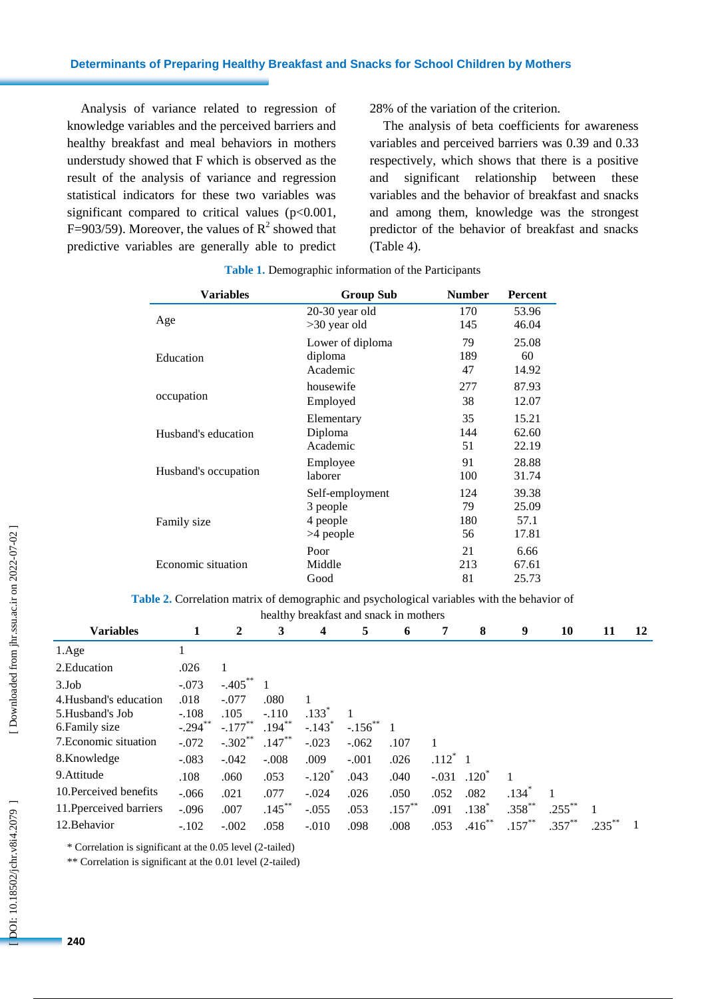Analysis of variance related to regression of knowledge variables and the perceived barriers and healthy breakfast and meal behaviors in mothers understudy showed that F which is observed as the result of the analysis of variance and regression statistical indicators for these two variables was significant compared to critical values  $(p<0.001,$ F=903/59). Moreover, the values of  $R^2$  showed that predictive variables are generally able to predict

28% of the variation of the criterion.

The analysis of beta coefficients for awareness variables and perceived barriers was 0.39 and 0.33 respectively , which shows that there is a positive and significant relationship between these variables and the behavior of breakfast and snack s and among them , knowledge was the strongest predictor of the behavior of breakfast and snacks (Table 4).

| Variables            | <b>Group Sub</b> | <b>Number</b> | Percent |
|----------------------|------------------|---------------|---------|
|                      | 20-30 year old   | 170           | 53.96   |
| Age                  | $>30$ year old   | 145           | 46.04   |
|                      | Lower of diploma | 79            | 25.08   |
| Education            | diploma          | 189           | 60      |
|                      | Academic         | 47            | 14.92   |
|                      | housewife        | 277           | 87.93   |
| occupation           | Employed         | 38            | 12.07   |
|                      | Elementary       | 35            | 15.21   |
| Husband's education  | Diploma          | 144           | 62.60   |
|                      | Academic         | 51            | 22.19   |
|                      | Employee         | 91            | 28.88   |
| Husband's occupation | laborer          | 100           | 31.74   |
|                      | Self-employment  | 124           | 39.38   |
|                      | 3 people         | 79            | 25.09   |
| Family size          | 4 people         | 180           | 57.1    |
|                      | >4 people        | 56            | 17.81   |
|                      | Poor             | 21            | 6.66    |
| Economic situation   | Middle           | 213           | 67.61   |
|                      | Good             | 81            | 25.73   |

#### **Table 1.** Demographic information of the Participants

**Table 2.** Correlation matrix of demographic and psychological variables with the behavior of

| healthy breakfast and snack in mothers |            |                       |           |                         |                |           |         |            |             |           |      |    |
|----------------------------------------|------------|-----------------------|-----------|-------------------------|----------------|-----------|---------|------------|-------------|-----------|------|----|
| <b>Variables</b>                       | 1          | 2                     | 3         | $\overline{\mathbf{4}}$ | 5              | 6         | 7       | 8          | 9           | 10        | 11   | 12 |
| 1.Age                                  |            |                       |           |                         |                |           |         |            |             |           |      |    |
| 2. Education                           | .026       |                       |           |                         |                |           |         |            |             |           |      |    |
| 3.Job                                  | $-.073$    | $-.405***$            |           |                         |                |           |         |            |             |           |      |    |
| 4. Husband's education                 | .018       | $-.077$               | .080      |                         |                |           |         |            |             |           |      |    |
| 5. Husband's Job                       | $-.108$    | .105                  | $-.110$   | .133 <sup>°</sup>       |                |           |         |            |             |           |      |    |
| 6. Family size                         | $-.294$ ** | $-.177$ <sup>**</sup> | $.194***$ | $-.143$ <sup>*</sup>    | $-.156^{**}$ 1 |           |         |            |             |           |      |    |
| 7. Economic situation                  | $-.072$    | $-.302**$             | $.147**$  | $-.023$                 | $-.062$        | .107      |         |            |             |           |      |    |
| 8.Knowledge                            | $-.083$    | $-.042$               | $-.008$   | .009                    | $-.001$        | .026      | $.112*$ |            |             |           |      |    |
| 9. Attitude                            | .108       | .060                  | .053      | $-.120^*$               | .043           | .040      | $-.031$ | $.120^{3}$ |             |           |      |    |
| 10. Perceived benefits                 | $-.066$    | .021                  | .077      | $-.024$                 | .026           | .050      | .052    | .082       | $.134*$     |           |      |    |
| 11. Pperceived barriers                | $-.096$    | .007                  | $.145***$ | $-.055$                 | .053           | $.157***$ | .091    | $.138*$    | $.358^{**}$ | $.255***$ |      |    |
| 12. Behavior                           | $-.102$    | $-.002$               | .058      | $-.010$                 | .098           | .008      | .053    | $.416**$   | $.157***$   | $.357***$ | .235 |    |

\* Correlation is significant at the 0.05 level (2 -tailed)

\*\* Correlation is significant at the 0.01 level (2 -tailed)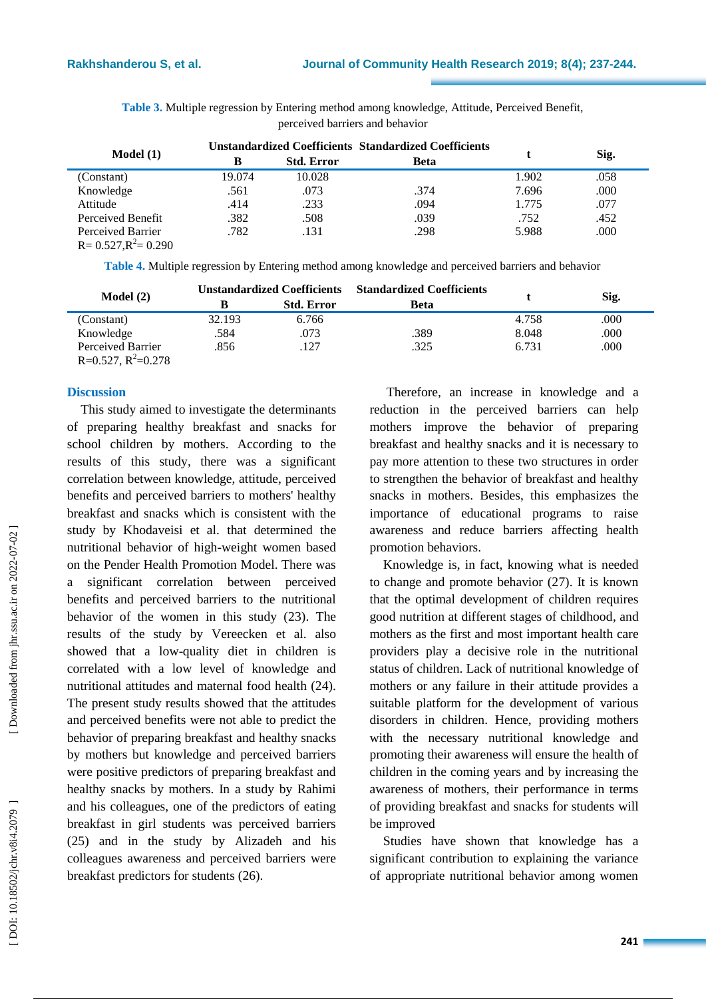| Model(1)                                      |        |                   | <b>Unstandardized Coefficients Standardized Coefficients</b> |       | Sig. |
|-----------------------------------------------|--------|-------------------|--------------------------------------------------------------|-------|------|
|                                               | В      | <b>Std. Error</b> | <b>Beta</b>                                                  |       |      |
| (Constant)                                    | 19.074 | 10.028            |                                                              | 1.902 | .058 |
| Knowledge                                     | .561   | .073              | .374                                                         | 7.696 | .000 |
| Attitude                                      | .414   | .233              | .094                                                         | 1.775 | .077 |
| Perceived Benefit                             | .382   | .508              | .039                                                         | .752  | .452 |
| Perceived Barrier<br>$R = 0.527, R^2 = 0.290$ | .782   | .131              | .298                                                         | 5.988 | .000 |

**Table 3.** Multiple regression by Entering method among knowledge, Attitude, Perceived Benefit, perceived barriers and behavior

**Table 4.** Multiple regression by Entering method among knowledge and perceived barriers and behavior

| Model(2)                |        |                   | Unstandardized Coefficients Standardized Coefficients |       |      |
|-------------------------|--------|-------------------|-------------------------------------------------------|-------|------|
|                         |        | <b>Std. Error</b> | <b>Beta</b>                                           |       | Sig. |
| (Constant)              | 32.193 | 6.766             |                                                       | 4.758 | .000 |
| Knowledge               | .584   | .073              | .389                                                  | 8.048 | .000 |
| Perceived Barrier       | .856   | .127              | .325                                                  | 6.731 | .000 |
| $R=0.527$ , $R^2=0.278$ |        |                   |                                                       |       |      |

#### **Discussion**

This study aimed to investigate the determinants of preparing healthy breakfast and snacks for school children by mothers . According to the results of this study, there was a significant correlation between knowledge, attitude, perceived benefits and perceived barriers to mothers' healthy breakfast and snacks which is consistent with the study by Khodaveisi et al . that determined the nutritional behavior of high -weight women based on the Pender Health Promotion Model. There was a significant correlation between perceived benefits and perceived barriers to the nutritional behavior of the women in this study (2 3). The results of the study by [Vereecken](https://www.ncbi.nlm.nih.gov/pubmed/?term=Vereecken%20C%5BAuthor%5D&cauthor=true&cauthor_uid=19751782) et al. also showed that a low -quality diet in children is correlated with a low level of knowledge and nutritional attitudes and maternal food health (2 4 ) . The present study results showed that the attitudes and perceived benefits were not able to predict the behavior of preparing breakfast and healthy snack s by mothers but knowledge and perceived barriers were positive predictors of preparing breakfast and healthy snacks by mothers. In a study by Rahimi and hi s colleagues , one of the predictors of eating breakfast in girl students was perceived barriers (25) and in the study by Alizadeh and his colleagues awareness and perceived barriers were breakfast predictors for students (26 ) .

Therefore, an increase in knowledge and a reduction in the perceived barriers can help mothers improve the behavior of preparing breakfast and healthy snack s and it is necessary to pay more attention to these two structures in order to strengthen the behavior of breakfast and healthy snacks in mothers. Besides, this emphasizes the importance of educational programs to raise awareness and reduce barriers affecting health promotion behaviors.

Knowledge is, in fact, knowing what is needed to change and promote behavior (2 7). It is known that the optimal development of children requires good nutrition at different stages of childhood , and mothers as the first and most important health care providers play a decisive role in the nutritional status of children. Lack of nutritional knowledge of mothers or any failure in their attitude provides a suitable platform for the development of various disorders in children. Hence, providing mothers with the necessary nutritional knowledge and promoting their awareness will ensure the health of children in the coming years and by increasing the awareness of mothers, their performance in terms of providing breakfast and snack s for students will be improved

Studies have shown that knowledge has a significant contribution to explaining the variance of appropriate nutritional behavior among women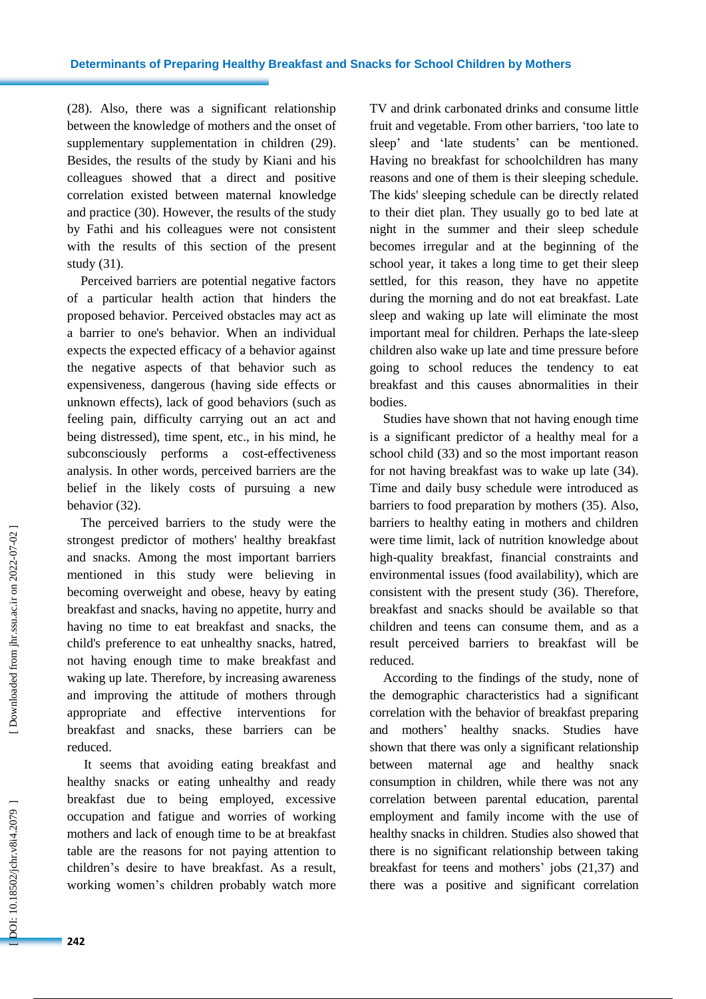(2 8). Also , there was a significant relationship between the knowledge of mothers and the onset of supplementary supplementation in children (2 9). Besides, the results of the study by Kiani and his colleagues showed that a direct and positive correlation existed between maternal knowledge and practice (30). However, the results of the study by Fathi and his colleagues were not consistent with the results of this section of the present study (31).

Perceived barriers are potential negative factors of a particular health action that hinders the proposed behavior. Perceived obstacles may act as a barrier to one's behavior. When an individual expects the expected efficacy of a behavior against the negative aspects of that behavior such as expensiveness, dangerous ( having side effects or unknown effects), lack of good behaviors ( such as feeling pain, difficulty carrying out an act and being distressed), time spent, etc., in his mind, he subconsciously performs a cost -effectiveness analysis. In other words, perceived barriers are the belief in the likely costs of pursuing a new behavior (32).

The perceived barriers to the study were the strongest predictor of mothers' healthy breakfast and snacks. Among the most important barriers mentioned in this study were believing in becoming overweight and obes e, heavy by eating breakfast and snacks, having no appetite, hurry and having no time to eat breakfast and snack s, the child's preference to eat unhealthy snacks, hatred, not having enough time to make breakfast and waking up late. Therefore, by increasing awareness and improving the attitude of mothers through appropriate and effective interventions for breakfast and snacks, these barriers can be reduced.

It seems that avoiding eating breakfast and healthy snack s or eating unhealthy and ready breakfast due to being employed, excessive occupation and fatigue and worries of working mothers and lack of enough time to be at breakfast table are the reasons for not paying attention to children's desire to have breakfast. As a result, working women's children probably watch more

TV and drink carbonated drinks and consume little fruit and vegetable. From other barriers, 'too late to sleep ' and 'late students' can be mentioned. Having no breakfast for schoolchildren has many reasons and one of them is their sleeping schedule. The kids' sleeping schedule can be directly related to their diet plan. They usually go to bed late at night in the summer and their sleep schedule become s irregular and at the beginning of the school year, it takes a long time to get their sleep settled, for this reason, they have no appetite during the morning and do not eat breakfast. Late sleep and waking up late will eliminate the most important meal for children. Perhaps the late -sleep children also wake up late and time pressure before going to school reduces the tendency to eat breakfast and this causes abnormalities in their bodies.

Studies have show n that not having enough time is a significant predictor of a healthy meal for a school child (33) and so the most important reason for not having breakfast was to wake up late (34). Time and daily busy schedule were introduced as barriers to food preparation by mothers (35). Also , barriers to healthy eating in mothers and children were time limit, lack of nutrition knowledge about high -quality breakfast, financial constraints and environmental issues (food availability), which are consistent with the present study (3 6). Therefore, breakfast and snacks should be available so that children and teens can consume them , and as a result perceived barriers to breakfast will be reduced.

According to the findings of the study, none of the demographic characteristics had a significant correlation with the behavior of breakfast preparing and mothers ' healthy snacks. Studies have shown that there was only a significant relationship between maternal age and healthy snack consumption in children, while there was not any correlation between parental education, parental employment and family income with the use of healthy snacks in children. Studies also showed that there is no significant relationship between taking breakfast for teens and mothers ' job s (2 1,3 7) and there was a positive and significant correlation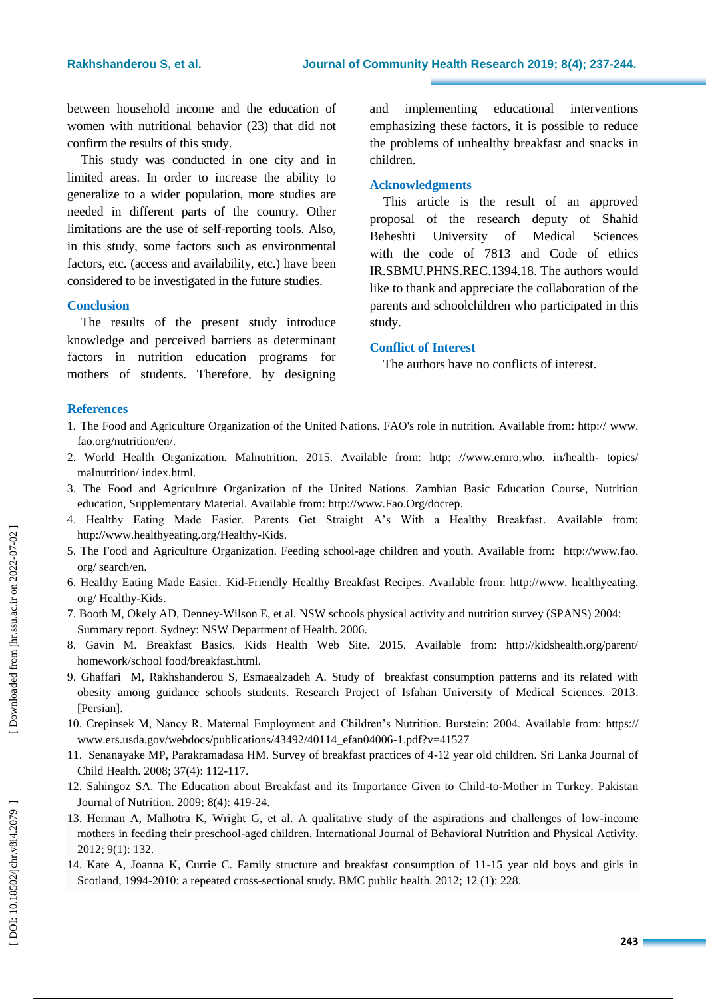between household income and the education of women with nutritional behavior (2 3) that did not confirm the results of this study.

This study was conducted in one city and in limited areas. In order to increase the ability to generalize to a wider population, more studies are needed in different parts of the country. Other limitations are the use of self-reporting tools. Also, in this study, some factors such as environmental factors, etc. (access and availability, etc.) have been considered to be investigated in the future studies.

### **Conclusion**

The results of the present study introduce knowledge and perceived barriers as determinant factors in nutrition education programs for mothers of students. Therefore, by designing and implementing educational interventions emphasizing these factors, it is possible to reduce the problems of unhealthy breakfast and snacks in children.

#### **Acknowledgments**

This article is the result of an approved proposal of the research deputy of Shahid Beheshti University of Medical Sciences with the code of 7813 and Code of ethics IR.SBMU.PHNS.REC.1394.18. The authors would like to thank and appreciate the collaboration of the parent s and schoolchildren who participated in this study.

#### **Conflict of Interest**

The authors have no conflicts of interest.

#### **References**

- 1. The Food and Agriculture Organization of the United Nations. FAO's role in nutrition. Available from: http:// www. fao.org/nutrition/en/.
- 2. World Health Organization. [Malnutrition](http://www.emro.who.int/health-topics/malnutrition/index.html) . 2015. Available from: http: //www.emro.who. in/health topics/ malnutrition/ index.html.
- 3. The Food and Agriculture Organization of the United Nations. Zambian Basic Education Course, Nutrition education, Supplementary Material . Available from: [http://www.Fao.Org/docrep.](http://www.fao.org/docrep)
- 4. Healthy Eating Made Easier. Parents Get Straight A's With a Healthy Breakfast . Available from: http://www.healthyeating.org/Healthy -Kids.
- 5. The Food and Agriculture Organization. Feeding school -age children and youth. Available from: http://www.fao. org/ search/en.
- 6. Healthy Eating Made Easier. Kid -Friendly Healthy Breakfast Recipes. Available from: http://www . healthyeating. org/ Healthy -Kids.
- 7. Booth M, Okely AD, Denney -Wilson E, et al. NSW schools physical activity and nutrition survey (SPANS) 2004: Summary report. Sydney: NSW Department of Health. 2006.
- 8 . [Gavin](https://www.nemours.org/welcome.html?utm_source=khreview&utm_medium=nem&utm_campaign=mary-gavin) M. [Breakfast Basics](http://www.kidshealth.org/parent/homework/school_food/breakfast.html) . [Kids Health](http://kidshealth.org/index.html) Web Site. 2015. Available from: http://kidshealth.org/parent/ homework/school food/breakfast.html.
- 9. Ghaffari M, Rakhshanderou S, Esmaealzadeh A. Study of breakfast consumption patterns and its related with obesity among guidance schools students. Research Project of Isfahan University of Medical Sciences. 2013 . [Persian].
- 10. Crepinsek M , Nancy R. Maternal Employment and Children's Nutrition. Burstein: 2004 . Available from : https:// www.ers.usda.gov/webdocs/publications/43492/40114\_efan04006 -1.pdf?v=41527
- 11. Senanayake MP, Parakramadasa HM. Survey of breakfast practices of 4 -12 year old children. Sri Lanka Journal of Child Health. 2008; 37(4): 112 -117.
- 12. Sahingoz SA. The Education about Breakfast and its Importance Given to Child -to -Mother in Turkey. Pakistan Journal of Nutrition. 2009; 8(4): 419 -24.
- 13. Herman A, Malhotra K, Wright G, et al . A qualitative study of the aspirations and challenges of low -income mothers in feeding their preschool -aged children. International Journal of Behavioral Nutrition and Physical Activity . 2012; 9(1): 132.
- 14. Kate A, Joanna K , Currie C . Family structure and breakfast consumption of 11 -15 year old boys and girls in Scotland, 1994-2010: a repeated cross-sectional study. BMC public health. 2012; 12 (1): 228.